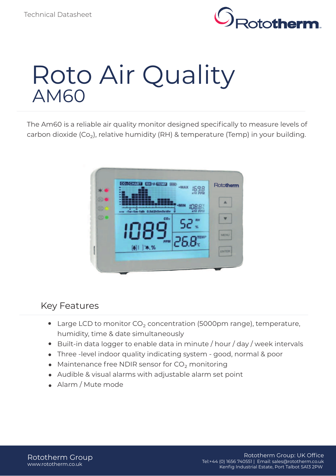

# Roto Air Quality AM60

The Am60 is a reliable air quality monitor designed specifically to measure levels of carbon dioxide  $(Co<sub>2</sub>)$ , relative humidity (RH) & temperature (Temp) in your building.



#### $\overline{\phantom{a}}$ Key Features

- Large LCD to monitor  $CO<sub>2</sub>$  concentration (5000pm range), temperature, humidity, time & date simultaneously
- Built-in data logger to enable data in minute / hour / day / week intervals
- Three -level indoor quality indicating system good, normal & poor
- $\bullet$  Maintenance free NDIR sensor for CO<sub>2</sub> monitoring
- Audible & visual alarms with adjustable alarm set point
- Alarm / Mute mode